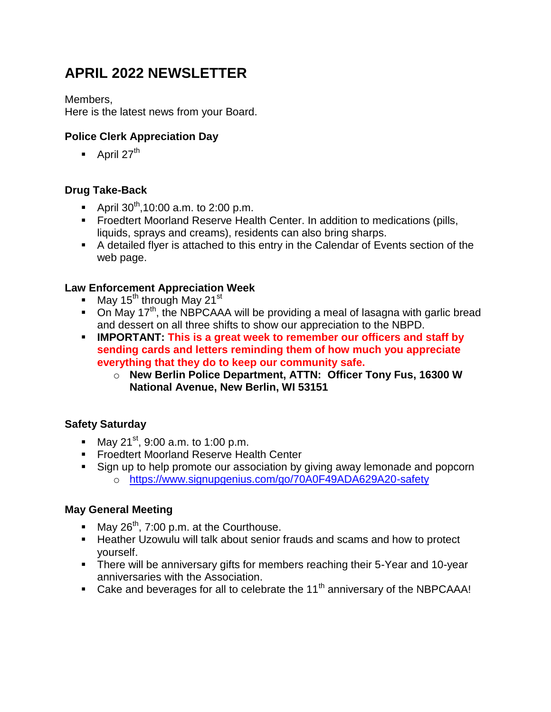# **APRIL 2022 NEWSLETTER**

Members,

Here is the latest news from your Board.

## **Police Clerk Appreciation Day**

 $\blacksquare$  April 27<sup>th</sup>

## **Drug Take-Back**

- April  $30^{th}$ ,10:00 a.m. to 2:00 p.m.
- Froedtert Moorland Reserve Health Center. In addition to medications (pills, liquids, sprays and creams), residents can also bring sharps.
- A detailed flyer is attached to this entry in the Calendar of Events section of the web page.

#### **Law Enforcement Appreciation Week**

- $\blacksquare$  May 15<sup>th</sup> through May 21<sup>st</sup>
- $\blacksquare$  On May 17<sup>th</sup>, the NBPCAAA will be providing a meal of lasagna with garlic bread and dessert on all three shifts to show our appreciation to the NBPD.
- **IMPORTANT: This is a great week to remember our officers and staff by sending cards and letters reminding them of how much you appreciate everything that they do to keep our community safe.**
	- o **New Berlin Police Department, ATTN: Officer Tony Fus, 16300 W National Avenue, New Berlin, WI 53151**

## **Safety Saturday**

- May 21<sup>st</sup>, 9:00 a.m. to 1:00 p.m.
- **FIFT** Froedtert Moorland Reserve Health Center
- Sign up to help promote our association by giving away lemonade and popcorn o <https://www.signupgenius.com/go/70A0F49ADA629A20-safety>

## **May General Meeting**

- May  $26^{th}$ , 7:00 p.m. at the Courthouse.
- **Heather Uzowulu will talk about senior frauds and scams and how to protect** yourself.
- **There will be anniversary gifts for members reaching their 5-Year and 10-year** anniversaries with the Association.
- Cake and beverages for all to celebrate the  $11<sup>th</sup>$  anniversary of the NBPCAAA!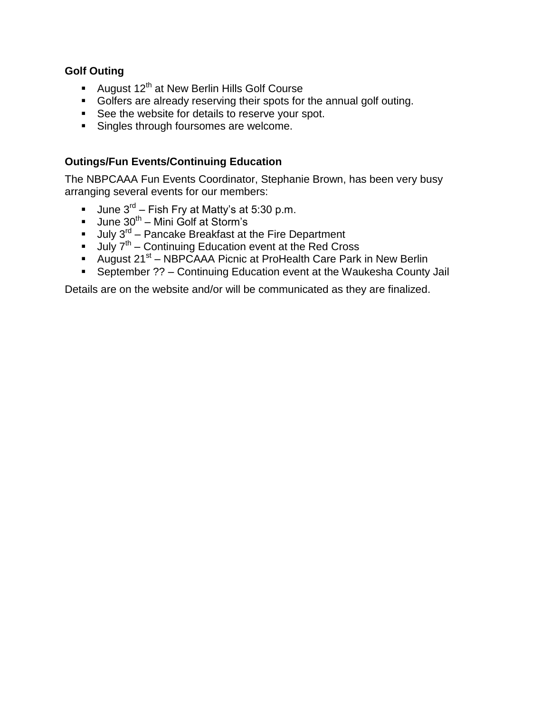#### **Golf Outing**

- August 12<sup>th</sup> at New Berlin Hills Golf Course
- Golfers are already reserving their spots for the annual golf outing.
- See the website for details to reserve your spot.
- **Singles through foursomes are welcome.**

#### **Outings/Fun Events/Continuing Education**

The NBPCAAA Fun Events Coordinator, Stephanie Brown, has been very busy arranging several events for our members:

- Uune  $3^{rd}$  Fish Fry at Matty's at 5:30 p.m.
- Uune  $30^{th}$  Mini Golf at Storm's
- July 3<sup>rd</sup> Pancake Breakfast at the Fire Department
- $-$  July  $7<sup>th</sup>$  Continuing Education event at the Red Cross
- August 21<sup>st</sup> NBPCAAA Picnic at ProHealth Care Park in New Berlin
- September ?? Continuing Education event at the Waukesha County Jail

Details are on the website and/or will be communicated as they are finalized.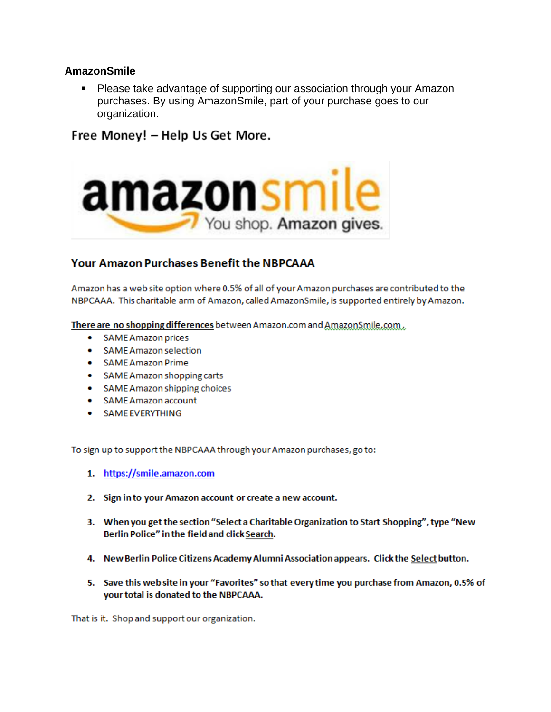#### **AmazonSmile**

Please take advantage of supporting our association through your Amazon purchases. By using AmazonSmile, part of your purchase goes to our organization.

Free Money! - Help Us Get More.



# **Your Amazon Purchases Benefit the NBPCAAA**

Amazon has a web site option where 0.5% of all of your Amazon purchases are contributed to the NBPCAAA. This charitable arm of Amazon, called AmazonSmile, is supported entirely by Amazon.

There are no shopping differences between Amazon.com and AmazonSmile.com.

- **SAME Amazon prices**  $\bullet$
- SAME Amazon selection  $\bullet$
- **SAME Amazon Prime** .
- SAME Amazon shopping carts
- SAME Amazon shipping choices
- SAME Amazon account
- · SAME EVERYTHING

To sign up to support the NBPCAAA through your Amazon purchases, go to:

- 1. https://smile.amazon.com
- 2. Sign in to your Amazon account or create a new account.
- 3. When you get the section "Select a Charitable Organization to Start Shopping", type "New Berlin Police" in the field and click Search.
- 4. New Berlin Police Citizens Academy Alumni Association appears. Click the Select button.
- 5. Save this web site in your "Favorites" so that every time you purchase from Amazon, 0.5% of your total is donated to the NBPCAAA.

That is it. Shop and support our organization.